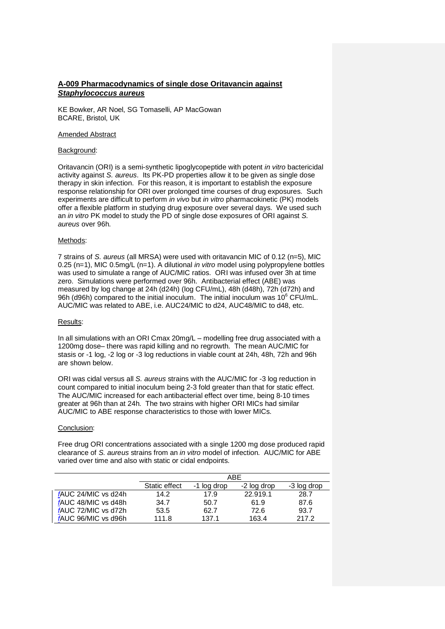# **A-009 Pharmacodynamics of single dose Oritavancin against**  *Staphylococcus aureus*

KE Bowker, AR Noel, SG Tomaselli, AP MacGowan BCARE, Bristol, UK

### Amended Abstract

### Background:

Oritavancin (ORI) is a semi-synthetic lipoglycopeptide with potent *in vitro* bactericidal activity against *S. aureus*. Its PK-PD properties allow it to be given as single dose therapy in skin infection. For this reason, it is important to establish the exposure response relationship for ORI over prolonged time courses of drug exposures. Such experiments are difficult to perform *in vivo* but *in vitro* pharmacokinetic (PK) models offer a flexible platform in studying drug exposure over several days. We used such an *in vitro* PK model to study the PD of single dose exposures of ORI against *S. aureus* over 96h.

# Methods:

7 strains of *S. aureus* (all MRSA) were used with oritavancin MIC of 0.12 (n=5), MIC 0.25 (n=1), MIC 0.5mg/L (n=1). A dilutional *in vitro* model using polypropylene bottles was used to simulate a range of AUC/MIC ratios. ORI was infused over 3h at time zero. Simulations were performed over 96h. Antibacterial effect (ABE) was measured by log change at 24h (d24h) (log CFU/mL), 48h (d48h), 72h (d72h) and 96h (d96h) compared to the initial inoculum. The initial inoculum was  $10^6$  CFU/mL. AUC/MIC was related to ABE, i.e. AUC24/MIC to d24, AUC48/MIC to d48, etc.

## Results:

In all simulations with an ORI Cmax 20mg/L – modelling free drug associated with a 1200mg dose– there was rapid killing and no regrowth. The mean AUC/MIC for stasis or -1 log, -2 log or -3 log reductions in viable count at 24h, 48h, 72h and 96h are shown below.

ORI was cidal versus all *S. aureus* strains with the AUC/MIC for -3 log reduction in count compared to initial inoculum being 2-3 fold greater than that for static effect. The AUC/MIC increased for each antibacterial effect over time, being 8-10 times greater at 96h than at 24h. The two strains with higher ORI MICs had similar AUC/MIC to ABE response characteristics to those with lower MICs.

# Conclusion:

Free drug ORI concentrations associated with a single 1200 mg dose produced rapid clearance of *S. aureus* strains from an *in vitro* model of infection. AUC/MIC for ABE varied over time and also with static or cidal endpoints.

|                     | ABE           |             |             |             |  |  |  |
|---------------------|---------------|-------------|-------------|-------------|--|--|--|
|                     | Static effect | -1 log drop | -2 log drop | -3 log drop |  |  |  |
| fAUC 24/MIC vs d24h | 14.2          | 17.9        | 22.919.1    | 28.7        |  |  |  |
| fAUC 48/MIC vs d48h | 34.7          | 50.7        | 61.9        | 87.6        |  |  |  |
| fAUC 72/MIC vs d72h | 53.5          | 62.7        | 72.6        | 93.7        |  |  |  |
| fAUC 96/MIC vs d96h | 111.8         | 137.1       | 163.4       | 217.2       |  |  |  |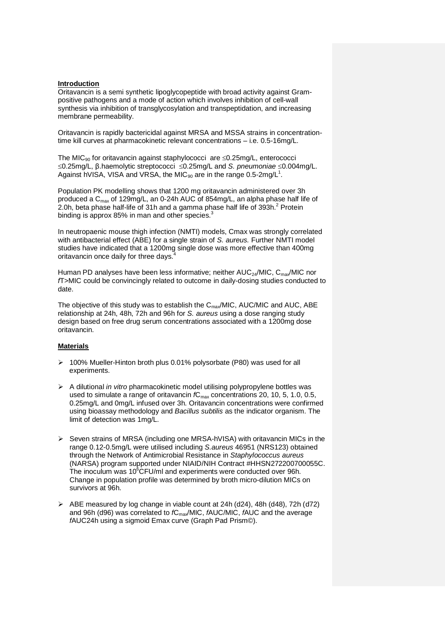#### **Introduction**

Oritavancin is a semi synthetic lipoglycopeptide with broad activity against Grampositive pathogens and a mode of action which involves inhibition of cell-wall synthesis via inhibition of transglycosylation and transpeptidation, and increasing membrane permeability.

Oritavancin is rapidly bactericidal against MRSA and MSSA strains in concentrationtime kill curves at pharmacokinetic relevant concentrations – i.e. 0.5-16mg/L.

The MIC<sub>90</sub> for oritavancin against staphylococci are  $\leq$ 0.25mg/L, enterococci ≤0.25mg/L, β.haemolytic streptococci ≤0.25mg/L and *S. pneumoniae* ≤0.004mg/L. Against hVISA, VISA and VRSA, the MIC<sub>90</sub> are in the range 0.5-2mg/L<sup>1</sup>.

Population PK modelling shows that 1200 mg oritavancin administered over 3h produced a Cmax of 129mg/L, an 0-24h AUC of 854mg/L, an alpha phase half life of 2.0h, beta phase half-life of 31h and a gamma phase half life of 393h. $^2$  Protein binding is approx 85% in man and other species.<sup>3</sup>

In neutropaenic mouse thigh infection (NMTI) models, Cmax was strongly correlated with antibacterial effect (ABE) for a single strain of *S. aureus.* Further NMTI model studies have indicated that a 1200mg single dose was more effective than 400mg oritavancin once daily for three days.<sup>4</sup>

Human PD analyses have been less informative; neither  $AUC_{24}/MIC$ ,  $C_{max}/MIC$  nor *f*T>MIC could be convincingly related to outcome in daily-dosing studies conducted to date.

The objective of this study was to establish the  $C_{\text{max}}/MIC$ , AUC/MIC and AUC, ABE relationship at 24h, 48h, 72h and 96h for *S. aureus* using a dose ranging study design based on free drug serum concentrations associated with a 1200mg dose oritavancin.

# **Materials**

- 100% Mueller-Hinton broth plus 0.01% polysorbate (P80) was used for all experiments.
- A dilutional *in vitro* pharmacokinetic model utilising polypropylene bottles was used to simulate a range of oritavancin  $fC<sub>max</sub>$  concentrations 20, 10, 5, 1.0, 0.5, 0.25mg/L and 0mg/L infused over 3h. Oritavancin concentrations were confirmed using bioassay methodology and *Bacillus subtilis* as the indicator organism. The limit of detection was 1mg/L.
- Seven strains of MRSA (including one MRSA-hVISA) with oritavancin MICs in the range 0.12-0.5mg/L were utilised including *S.aureus* 46951 (NRS123) obtained through the Network of Antimicrobial Resistance in *Staphylococcus aureus* (NARSA) program supported under NIAID/NIH Contract #HHSN272200700055C. The inoculum was 10<sup>6</sup>CFU/ml and experiments were conducted over 96h. Change in population profile was determined by broth micro-dilution MICs on survivors at 96h.
- $\triangleright$  ABE measured by log change in viable count at 24h (d24), 48h (d48), 72h (d72) and 96h (d96) was correlated to  $f_{\text{C}_{\text{max}}}$ /MIC, *fAUC/MIC*, *fAUC* and the average *f*AUC24h using a sigmoid Emax curve (Graph Pad Prism©).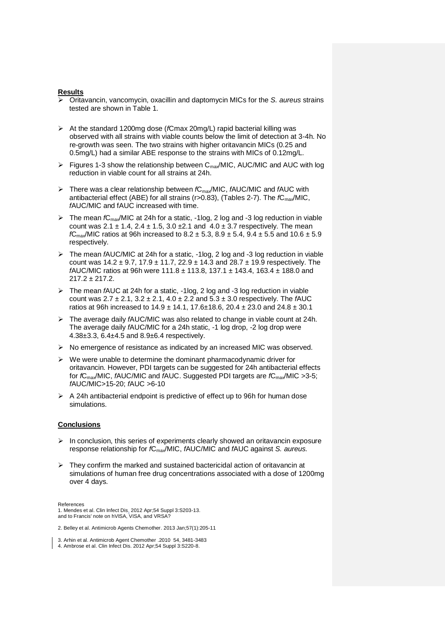#### **Results**

- Oritavancin, vancomycin, oxacillin and daptomycin MICs for the *S. aureus* strains tested are shown in Table 1.
- At the standard 1200mg dose (*f*Cmax 20mg/L) rapid bacterial killing was observed with all strains with viable counts below the limit of detection at 3-4h. No re-growth was seen. The two strains with higher oritavancin MICs (0.25 and 0.5mg/L) had a similar ABE response to the strains with MICs of 0.12mg/L.
- Figures 1-3 show the relationship between  $C_{\text{max}}/MIC$ , AUC/MIC and AUC with log reduction in viable count for all strains at 24h.
- ▶ There was a clear relationship between  $f_{\text{max}}/MIC$ , *fAUC/MIC* and *fAUC* with antibacterial effect (ABE) for all strains (r>0.83), (Tables 2-7). The *fC*<sub>max</sub>/MIC, *f*AUC/MIC and fAUC increased with time.
- The mean  $f_{\text{C}_{\text{max}}}$ /MIC at 24h for a static, -1log, 2 log and -3 log reduction in viable count was 2.1  $\pm$  1.4, 2.4  $\pm$  1.5, 3.0  $\pm$ 2.1 and 4.0  $\pm$  3.7 respectively. The mean *f*C<sub>may</sub>/MIC ratios at 96h increased to 8.2  $\pm$  5.3, 8.9  $\pm$  5.4, 9.4  $\pm$  5.5 and 10.6  $\pm$  5.9 respectively.
- The mean *f*AUC/MIC at 24h for a static, -1log, 2 log and -3 log reduction in viable count was  $14.2 \pm 9.7$ ,  $17.9 \pm 11.7$ ,  $22.9 \pm 14.3$  and  $28.7 \pm 19.9$  respectively. The *f*AUC/MIC ratios at 96h were 111.8 ± 113.8, 137.1 ± 143.4, 163.4 ± 188.0 and  $217.2 + 217.2$
- The mean *f*AUC at 24h for a static, -1log, 2 log and -3 log reduction in viable count was  $2.7 \pm 2.1$ ,  $3.2 \pm 2.1$ ,  $4.0 \pm 2.2$  and  $5.3 \pm 3.0$  respectively. The  $f$ AUC ratios at 96h increased to  $14.9 \pm 14.1$ ,  $17.6 \pm 18.6$ ,  $20.4 \pm 23.0$  and  $24.8 \pm 30.1$
- The average daily *f*AUC/MIC was also related to change in viable count at 24h. The average daily *f*AUC/MIC for a 24h static, -1 log drop, -2 log drop were 4.38±3.3, 6.4±4.5 and 8.9±6.4 respectively.
- $\triangleright$  No emergence of resistance as indicated by an increased MIC was observed.
- $\triangleright$  We were unable to determine the dominant pharmacodynamic driver for oritavancin. However, PDI targets can be suggested for 24h antibacterial effects for *f*C<sub>max</sub>/MIC, *fAUC/MIC* and *fAUC*. Suggested PDI targets are *fC*<sub>max</sub>/MIC >3-5; *f*AUC/MIC>15-20; *f*AUC >6-10
- $\triangleright$  A 24h antibacterial endpoint is predictive of effect up to 96h for human dose simulations.

# **Conclusions**

- $\triangleright$  In conclusion, this series of experiments clearly showed an oritavancin exposure response relationship for *f*Cmax/MIC, *f*AUC/MIC and *f*AUC against *S. aureus.*
- $\triangleright$  They confirm the marked and sustained bactericidal action of oritavancin at simulations of human free drug concentrations associated with a dose of 1200mg over 4 days.

References

1. Mendes et al. Clin Infect Dis. 2012 Apr;54 Suppl 3:S203-13. and to Francis' note on hVISA, VISA, and VRSA?

2. Belley et al. Antimicrob Agents Chemother. 2013 Jan;57(1):205-11

3. Arhin et al. Antimicrob Agent Chemother .2010 54, 3481-3483

4. Ambrose et al. Clin Infect Dis. 2012 Apr;54 Suppl 3:S220-8.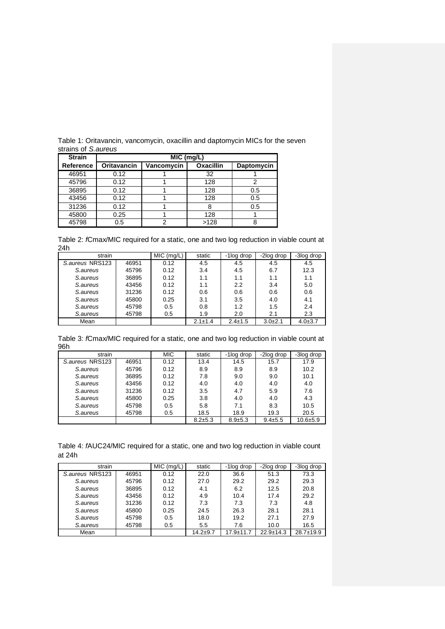Table 1: Oritavancin, vancomycin, oxacillin and daptomycin MICs for the seven strains of *S.aureus*

| <b>Strain</b>    | MIC (mg/L)         |            |                  |                   |  |  |  |  |
|------------------|--------------------|------------|------------------|-------------------|--|--|--|--|
| <b>Reference</b> | <b>Oritavancin</b> | Vancomycin | <b>Oxacillin</b> | <b>Daptomycin</b> |  |  |  |  |
| 46951            | 0.12               |            | 32               |                   |  |  |  |  |
| 45796            | 0.12               |            | 128              |                   |  |  |  |  |
| 36895            | 0.12               |            | 128              | 0.5               |  |  |  |  |
| 43456            | 0.12               |            | 128              | 0.5               |  |  |  |  |
| 31236            | 0.12               |            | 8                | 0.5               |  |  |  |  |
| 45800            | 0.25               |            | 128              |                   |  |  |  |  |
| 45798            | 0.5                | っ          | >128             |                   |  |  |  |  |

Table 2: *f*Cmax/MIC required for a static, one and two log reduction in viable count at 24h

| strain          |       | MIC (mg/L) | static        | -1log drop    | -2log drop | -3log drop    |
|-----------------|-------|------------|---------------|---------------|------------|---------------|
| S.aureus NRS123 | 46951 | 0.12       | 4.5           | 4.5           | 4.5        | 4.5           |
| S.aureus        | 45796 | 0.12       | 3.4           | 4.5           | 6.7        | 12.3          |
| S.aureus        | 36895 | 0.12       | 1.1           | 1.1           | 1.1        | 1.1           |
| S.aureus        | 43456 | 0.12       | 1.1           | 2.2           | 3.4        | 5.0           |
| S.aureus        | 31236 | 0.12       | 0.6           | 0.6           | 0.6        | 0.6           |
| S.aureus        | 45800 | 0.25       | 3.1           | 3.5           | 4.0        | 4.1           |
| S.aureus        | 45798 | 0.5        | 0.8           | 1.2           | 1.5        | 2.4           |
| S.aureus        | 45798 | 0.5        | 1.9           | 2.0           | 2.1        | 2.3           |
| Mean            |       |            | $2.1 \pm 1.4$ | $2.4 \pm 1.5$ | $3.0+2.1$  | $4.0 \pm 3.7$ |

|     | Table 3: fCmax/MIC required for a static, one and two log reduction in viable count at |
|-----|----------------------------------------------------------------------------------------|
| 96h |                                                                                        |

| strain          |       | <b>MIC</b> | static      | -1 log drop | -2log drop    | -3log drop   |
|-----------------|-------|------------|-------------|-------------|---------------|--------------|
| S.aureus NRS123 | 46951 | 0.12       | 13.4        | 14.5        | 15.7          | 17.9         |
| S.aureus        | 45796 | 0.12       | 8.9         | 8.9         | 8.9           | 10.2         |
| S.aureus        | 36895 | 0.12       | 7.8         | 9.0         | 9.0           | 10.1         |
| S.aureus        | 43456 | 0.12       | 4.0         | 4.0         | 4.0           | 4.0          |
| S.aureus        | 31236 | 0.12       | 3.5         | 4.7         | 5.9           | 7.6          |
| S.aureus        | 45800 | 0.25       | 3.8         | 4.0         | 4.0           | 4.3          |
| S.aureus        | 45798 | 0.5        | 5.8         | 7.1         | 8.3           | 10.5         |
| S.aureus        | 45798 | 0.5        | 18.5        | 18.9        | 19.3          | 20.5         |
|                 |       |            | $8.2 + 5.3$ | $8.9 + 5.3$ | $9.4 \pm 5.5$ | $10.6 + 5.9$ |

Table 4: *f*AUC24/MIC required for a static, one and two log reduction in viable count at 24h

| strain          |       | MIC (mg/L) | static       | -1log drop    | -2log drop    | -3log drop    |
|-----------------|-------|------------|--------------|---------------|---------------|---------------|
| S.aureus NRS123 | 46951 | 0.12       | 22.0         | 36.6          | 51.3          | 73.3          |
| S.aureus        | 45796 | 0.12       | 27.0         | 29.2          | 29.2          | 29.3          |
| S.aureus        | 36895 | 0.12       | 4.1          | 6.2           | 12.5          | 20.8          |
| S.aureus        | 43456 | 0.12       | 4.9          | 10.4          | 17.4          | 29.2          |
| S.aureus        | 31236 | 0.12       | 7.3          | 7.3           | 7.3           | 4.8           |
| S.aureus        | 45800 | 0.25       | 24.5         | 26.3          | 28.1          | 28.1          |
| S.aureus        | 45798 | 0.5        | 18.0         | 19.2          | 27.1          | 27.9          |
| S.aureus        | 45798 | 0.5        | 5.5          | 7.6           | 10.0          | 16.5          |
| Mean            |       |            | $14.2 + 9.7$ | $17.9 + 11.7$ | $22.9 + 14.3$ | $28.7 + 19.9$ |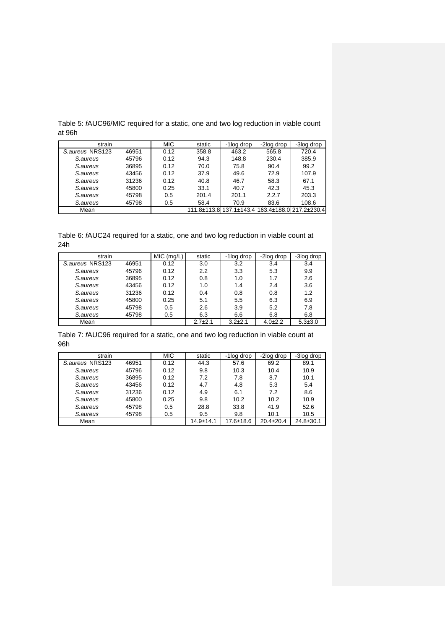| strain          |       | <b>MIC</b> | static | -1log drop                                      | -2log drop | -3log drop |
|-----------------|-------|------------|--------|-------------------------------------------------|------------|------------|
| S.aureus NRS123 | 46951 | 0.12       | 358.8  | 463.2                                           | 565.8      | 720.4      |
| S.aureus        | 45796 | 0.12       | 94.3   | 148.8                                           | 230.4      | 385.9      |
| S.aureus        | 36895 | 0.12       | 70.0   | 75.8                                            | 90.4       | 99.2       |
| S.aureus        | 43456 | 0.12       | 37.9   | 49.6                                            | 72.9       | 107.9      |
| S.aureus        | 31236 | 0.12       | 40.8   | 46.7                                            | 58.3       | 67.1       |
| S.aureus        | 45800 | 0.25       | 33.1   | 40.7                                            | 42.3       | 45.3       |
| S.aureus        | 45798 | 0.5        | 201.4  | 201.1                                           | 2.2.7      | 203.3      |
| S.aureus        | 45798 | 0.5        | 58.4   | 70.9                                            | 83.6       | 108.6      |
| Mean            |       |            |        | 111.8±113.8 137.1±143.4 163.4±188.0 217.2±230.4 |            |            |

Table 5: *f*AUC96/MIC required for a static, one and two log reduction in viable count at 96h

Table 6: *f*AUC24 required for a static, one and two log reduction in viable count at 24h

| strain          |       | MIC (mg/L) | static        | -1log drop  | -2log drop    | -3log drop    |
|-----------------|-------|------------|---------------|-------------|---------------|---------------|
| S.aureus NRS123 | 46951 | 0.12       | 3.0           | 3.2         | 3.4           | 3.4           |
| S.aureus        | 45796 | 0.12       | 2.2           | 3.3         | 5.3           | 9.9           |
| S.aureus        | 36895 | 0.12       | 0.8           | 1.0         | 1.7           | 2.6           |
| S.aureus        | 43456 | 0.12       | 1.0           | 1.4         | 2.4           | 3.6           |
| S.aureus        | 31236 | 0.12       | 0.4           | 0.8         | 0.8           | 1.2           |
| S.aureus        | 45800 | 0.25       | 5.1           | 5.5         | 6.3           | 6.9           |
| S.aureus        | 45798 | 0.5        | 2.6           | 3.9         | 5.2           | 7.8           |
| S.aureus        | 45798 | 0.5        | 6.3           | 6.6         | 6.8           | 6.8           |
| Mean            |       |            | $2.7 \pm 2.1$ | $3.2 + 2.1$ | $4.0 \pm 2.2$ | $5.3 \pm 3.0$ |

Table 7: *f*AUC96 required for a static, one and two log reduction in viable count at 96h

| strain          |       | <b>MIC</b> | static        | -1log drop      | -2log drop      | -3log drop      |
|-----------------|-------|------------|---------------|-----------------|-----------------|-----------------|
| S.aureus NRS123 | 46951 | 0.12       | 44.3          | 57.6            | 69.2            | 89.1            |
| S.aureus        | 45796 | 0.12       | 9.8           | 10.3            | 10.4            | 10.9            |
| S.aureus        | 36895 | 0.12       | 7.2           | 7.8             | 8.7             | 10.1            |
| S.aureus        | 43456 | 0.12       | 4.7           | 4.8             | 5.3             | 5.4             |
| S.aureus        | 31236 | 0.12       | 4.9           | 6.1             | 7.2             | 8.6             |
| S.aureus        | 45800 | 0.25       | 9.8           | 10.2            | 10.2            | 10.9            |
| S.aureus        | 45798 | 0.5        | 28.8          | 33.8            | 41.9            | 52.6            |
| S.aureus        | 45798 | 0.5        | 9.5           | 9.8             | 10.1            | 10.5            |
| Mean            |       |            | $14.9 + 14.1$ | $17.6 \pm 18.6$ | $20.4 \pm 20.4$ | $24.8 \pm 30.1$ |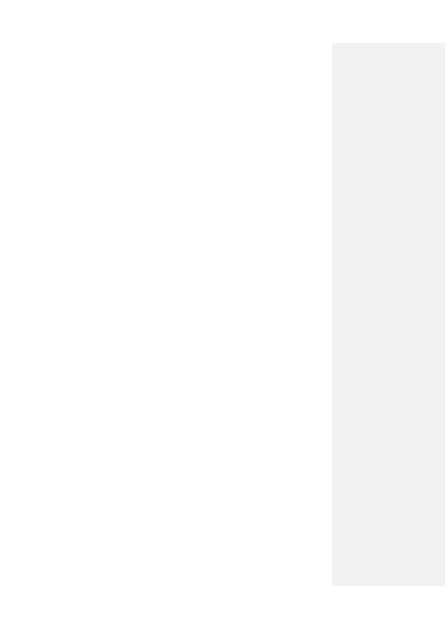